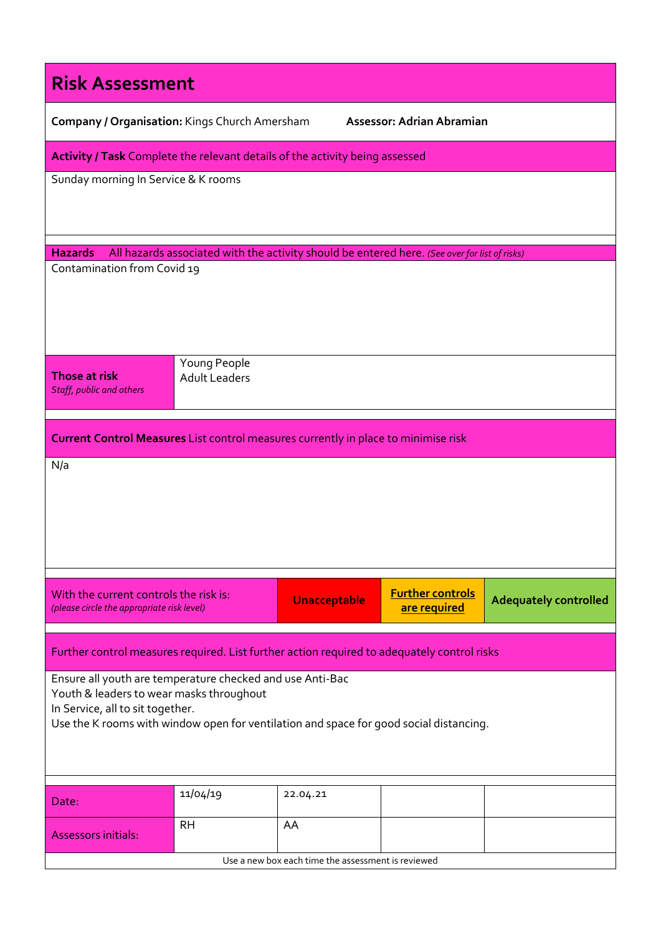| <b>Risk Assessment</b>                                                                                                                                                                                                              |                                      |                     |                                         |                              |  |  |  |
|-------------------------------------------------------------------------------------------------------------------------------------------------------------------------------------------------------------------------------------|--------------------------------------|---------------------|-----------------------------------------|------------------------------|--|--|--|
| Company / Organisation: Kings Church Amersham                                                                                                                                                                                       |                                      |                     | Assessor: Adrian Abramian               |                              |  |  |  |
| Activity / Task Complete the relevant details of the activity being assessed                                                                                                                                                        |                                      |                     |                                         |                              |  |  |  |
| Sunday morning In Service & K rooms                                                                                                                                                                                                 |                                      |                     |                                         |                              |  |  |  |
| <b>Hazards</b><br>All hazards associated with the activity should be entered here. (See over for list of risks)                                                                                                                     |                                      |                     |                                         |                              |  |  |  |
| Contamination from Covid 19                                                                                                                                                                                                         |                                      |                     |                                         |                              |  |  |  |
| Those at risk<br>Staff, public and others                                                                                                                                                                                           | Young People<br><b>Adult Leaders</b> |                     |                                         |                              |  |  |  |
| <b>Current Control Measures</b> List control measures currently in place to minimise risk                                                                                                                                           |                                      |                     |                                         |                              |  |  |  |
| N/a                                                                                                                                                                                                                                 |                                      |                     |                                         |                              |  |  |  |
| With the current controls the risk is:<br>(please circle the appropriate risk level)                                                                                                                                                |                                      | <b>Unacceptable</b> | <b>Further controls</b><br>are required | <b>Adequately controlled</b> |  |  |  |
| Further control measures required. List further action required to adequately control risks                                                                                                                                         |                                      |                     |                                         |                              |  |  |  |
| Ensure all youth are temperature checked and use Anti-Bac<br>Youth & leaders to wear masks throughout<br>In Service, all to sit together.<br>Use the K rooms with window open for ventilation and space for good social distancing. |                                      |                     |                                         |                              |  |  |  |
| Date:                                                                                                                                                                                                                               | 11/04/19                             | 22.04.21            |                                         |                              |  |  |  |
| <b>Assessors initials:</b>                                                                                                                                                                                                          | <b>RH</b>                            | AA                  |                                         |                              |  |  |  |
| Use a new box each time the assessment is reviewed                                                                                                                                                                                  |                                      |                     |                                         |                              |  |  |  |